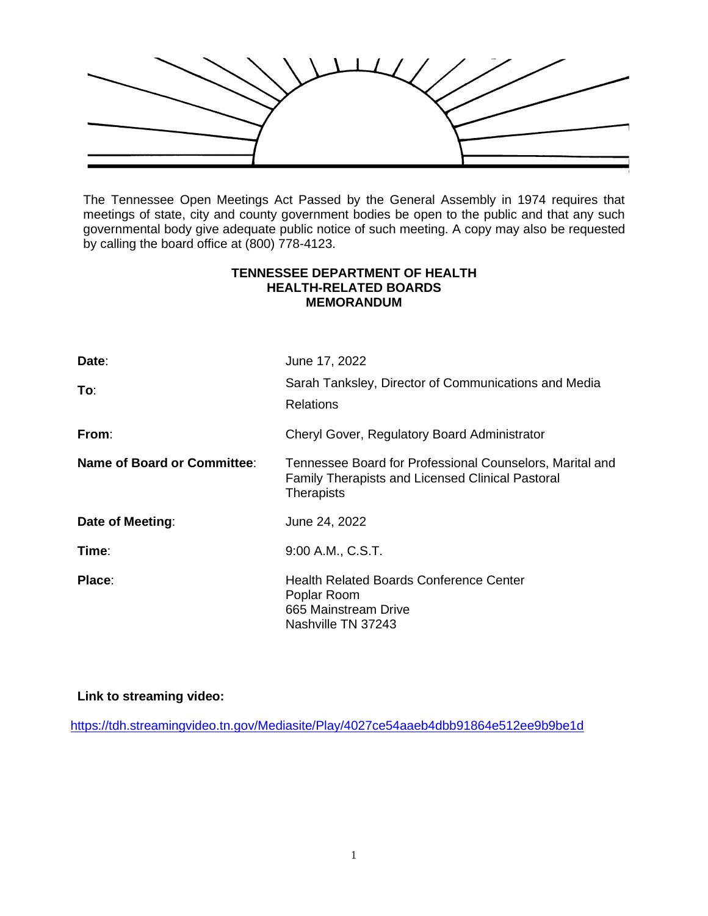

The Tennessee Open Meetings Act Passed by the General Assembly in 1974 requires that meetings of state, city and county government bodies be open to the public and that any such governmental body give adequate public notice of such meeting. A copy may also be requested by calling the board office at  $(800)$  778-4123.

## **TENNESSEE DEPARTMENT OF HEALTH HEALTH-RELATED BOARDS MEMORANDUM**

| Date:                       | June 17, 2022                                                                                                                            |
|-----------------------------|------------------------------------------------------------------------------------------------------------------------------------------|
| To∶                         | Sarah Tanksley, Director of Communications and Media<br>Relations                                                                        |
| From:                       | Cheryl Gover, Regulatory Board Administrator                                                                                             |
| Name of Board or Committee: | Tennessee Board for Professional Counselors, Marital and<br><b>Family Therapists and Licensed Clinical Pastoral</b><br><b>Therapists</b> |
| Date of Meeting:            | June 24, 2022                                                                                                                            |
| Time:                       | 9:00 A.M., C.S.T.                                                                                                                        |
| Place:                      | <b>Health Related Boards Conference Center</b><br>Poplar Room<br>665 Mainstream Drive<br>Nashville TN 37243                              |

## **Link to streaming video:**

<https://tdh.streamingvideo.tn.gov/Mediasite/Play/4027ce54aaeb4dbb91864e512ee9b9be1d>